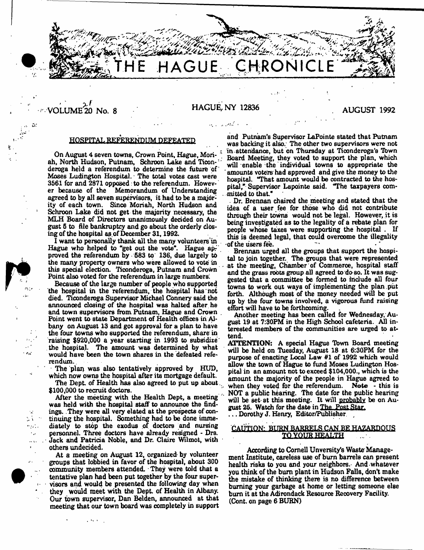**THE HAGUE CHRONICLE**

 $VOLUME <sup>20</sup> No. 8$  HAGUE, NY 12836 AUGUST 1992

a.

 $\mathcal{L}$ 

 $\sim$   $\lambda$  $\sim 10^4$  . ٠.,

# HOSPITAL REFERENDUM DEFEATED

On August 4 seven towns, Crown Point, Hague, Moriah. North Hudson, Putnam, Schroon Lake and Ticon-'' deroga held a referendum to determine the future of Moses Ludington Hospital. The total votes cast were 3561 for and 2871 opposed to the referendum. However because of the Memorandum of Understanding agreed to by all seven supervisors, it had to be a majority of each town. Since Moriah, North Hudson and Schroon Lake did not get the majority necessary, the MLH Board of Directors unanimously decided on August 5 to file bankruptcy and go about the orderly closing of the hospital as of December 31,1992.

1 want to personally thank all the many volunteers in Hague who helped to "get out the vote". Hague approved the referendum by 583 to 136, due largely to the many property owners who were allowed to vote in this special election. Ticonderoga, Putnam and Crown Point also voted for the referendum in large numbers.

Because of the large number of people who supported the hospital in the referendum, the hospital has not died. Ticonderoga Supervisor Michael Connery said the announced closing of the hospital was halted after he and town supervisors from Putnam, Hague and Crown . Point went to state Department of Health offices in Albany on August 13 and got approval for a plan to have the four towns who supported the referendum, share in raising \$920,000 a year starting in 1993 to subsidize' the hospital. The amount was determined by what would have been the town shares in the defeated referendum.

The plan was also tentatively approved by HUD, which now owns the hospital after its mortgage default.

The Dept. of Health has also agreed to put up about. \$100,000 to recruit doctors.

After the meeting with the Health Dept, a meeting was held with the hospital staff to announce the findings. They were all very elated at the prospects of continuing the hospital. Something had to be done immediately to stop the exodus of doctors and nursing personnel. Three doctors have already resigned - Drs. Jack and Patricia Noble, and Dr. Claire Wilmot, with others undecided.

At a meeting on August 12, organized by volunteer groups that lobbied in favor of the hospital, about 300 community members attended. They were told that a tentative plan had been put together by the four supervisors and would be presented the following day when they would meet with the Dept, of Health in Albany. Our town supervisor, Dan Belden, announced at that meeting that our town board was completely in support

 $\mathcal{L}^{(1)}$  for  $\mathcal{L}^{(1)}$ 

and Putnam's Supervisor LaPointe stated that Putnam was backing it also. The other two supervisors were not in attendance, but on Thursday at Ticonderoga's Ibwn Board Meeting, they voted to support the plan, which will enable the individual towns to appropriate the amounts voters had approved and give the money to the hospital. 'That amount would be contracted to the hospital," Supervisor Lapointe said. "The taxpayers committed to that."

• Dr. Brennan chaired the meeting and stated that the idea of a user fee for those who did not contribute through their towns would not be legal. However, it is being investigated as to the legality of a rebate plan for people whose taxes were supporting the hospital . If this is deemed legal, that could overcome the illegality of the users fee.

Brennan urged all the groups that support the hospital to join together. The groups that were represented at the meeting, Chamber of Commerce, hospital staff and the grass roots group all agreed to doso. It was suggested that a committee be formed to include all four towns to work out ways of implementing the plan put forth. Although most of the money needed will be put up by the four towns involved, a vigorous fund raising effort will have to be forthcoming.

Another meeting has been called for Wednesday, August 19 at 7:30PM in the High School cafeteria. All interested members of the communities are urged to attend.

ATTENTION; A special Hague Town Board meeting will be held on Tuesday, August 18 at 6:30PM for the purpose of enacting Local Law #1 of 1992 which would allow the town of Hague to fund Moses Ludington Hospital in an amount not to exceed \$104,000., which is the amount the majority of the people in Hague agreed to when they voted for the referendum. Note - this is when they voted for the referendum. NOT a public hearing. The date for the public hearing will be set at this meeting. It will probably be on August 25. Watch for the date in The Post Star.

... Dorothy J. Henry, Editor/Publisher

# CAUTION: BURN BARRELS CAN BE HAZARDOUS **TO YOUR HEALTH**

According to Cornell Unversity's Waste Management Institute, careless use of bum barrels can present health risks to you and your neighbors. And whatever you think of the bum plant in Hudson Falls, don't make the mistake of thinking there is no difference between burning your garbage at home or letting someone else bum it at the Adirondack Resource Recovery Facility. (Cont. on page 6 BURN)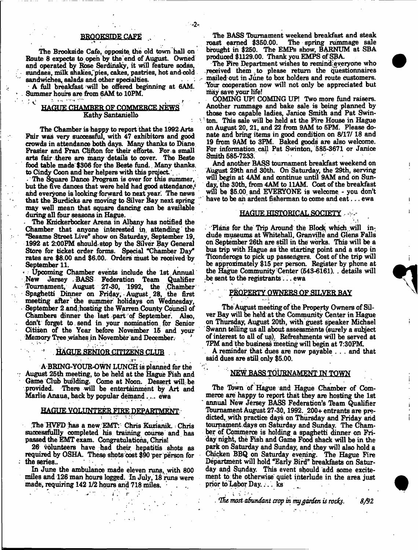#### BROOKSIDE CAFÉ

. . -2-

The Brookaide Cafe, opposite, the old town hall on Route 8 expects to open by the end of August. Owned and operated by Rose Serdinsky, it will feature sodas, sundaes, milk shakes, pies, cakes, pastries, hot and cold. sandwiches, salads and other specialties.

- A full breakfast will be offered beginning at 6AM. . Summer hours are from GAM to 10PM.

# ^ HAGUE CHAMBER OF COMMERCE NEWS ? Kathy Santaniello

The Chamber is happy to report that the 1992 Arts Fair was very successful, with 47 exhibitors and good crowds in attendance both days. Many thanks to Diane Frasier and Fran Clifton for their efforts. For a small arts fair there are many details to cover. The Beste food table made \$306 for the Beste fund.. Many thanks, to Cindy Coon and her helpers with this project.

The Square Dance Program is over for this summer, but the five dances that were held had good attendance, and everyone is looking forward to next year. The news that the Burdicks are moving to Silver Bay next spring may well mean that square dancing can be available during all four seasons in Hague.

. The Knickerbocker Arena in Albany has notified the Chamber that anyone interested in attending the "Sesame Street Live0 show on Saturday, September 19, 1992 at 2:00PM should-stop by the Silver Bay Genersl Store for ticket order forms. Special "Chamber Day" rates are \$8.00 and \$6.00. Orders must be received by September 11.

\* Upcoming Chamber events include the 1st Annual New Jersey . BASS Federation Team Qualifier Tournament, August 27-30, 1992, the .Chamber Spaghetti Dinner on Friday, • August, 28, the first meeting after the summer holidays oh Wednesday, • September 2 and; hosting the Warren County Council of Chambers dinner the last part of September. Also, don't forget to. send in your nomination, for Senior Citizen of the Year before November 16 and your Memory Tree wishes in November and December.

#### **HAGUE SENIOR CITIZENS CLUB**

A BRING-YOUR-OWN LUNCH is planned for the •: August 25th meeting, to be held at the Hague Fish and Game Club building. Come at Noon. Dessert will; be provided. There will be entertainment by Art and Mariie Anaua, back by popular demand. ... ewa

# HAGUE VOLUNTEER FIRE DEPARTMENT

.The HVFD has a new EMTY Chris Kuzianik.: Chris successfullly completed his training course and has passed the EMT exam. Congratulations, Chris!

26 volunteers have had their hepatitis shots as required by OSHA. These shots cost \$90 per person for the series. : the series... The series of the series of the series of the series of the series of the series of the series

In June the ambulance made eleven runs, with 800 miles and 126 man hours logged. In July, 18 runs were made, requiring 142 1/2 hours and 718 miles. '

 $\mathcal{C}$ 

The BASS Tournament weekend breakfast and steak roast earned \$350.00. The spring rummage sale The spring rummage sale brought in \$250. The EMPs Bhow, BARNTJM at SBA produced \$1129.00. Thank you EMPS of SBA.

The Fire Department wishes to remind everyone who received them to please return the questionnaires mailed out in June to box holders and route customers. Your cooperation now will not only be appreciated but may save your life!

COMING UP! COMING UP! Two more fund raisers. Another rummage and bake sale is being planned by those two capable ladies, Janice Smith and Pat Swin ton. This sale will be held at the Fire House in Hague on August 20, 21, and 22 from 9AM to 5PM. Please donate and bring items in good condition on 8/17/ 18 and 19 from 9AM to 3PM. Baked goods are sIbo welcome. For information call Pat Swinton, 585-3671 or Janice Smith 585-7233. k

And another BASS tournament breakfast weekend on August 29th and 30th. Oh Saturday, the 29th, serving will begin at 4AM and continue until 9AM and on Sunday, the 30th, from 4AM to 11AM. Cost of the breakfast wfll be \$5.00 and EVERYONE is welcome - you don't have to be an ardent fisherman to come and eat...  $ewa$ 

#### HAGUE HISTORICAL SOCIETY - :

'Plans for the Trip Around the Block which will include museums at Whitehall, Granville and Glens Falls on September 26th are still in the works. This will be a bus trip with Hague as the starting point and a stop in Ticonderoga to pick up passengers. Cost of the trip will be approximately \$15 per person. Register by phone at the Hague Community Center (543-6161). . details will be sent to the registrants... ewa

#### **PROPERTY OWNERS OF SILVER BAY**

The August meeting of the Property Owners of Silver Bay will be held at the Community Center in Hague on Thursday, August 20th, with guest speaker Michael Swann telling us all about assessments (surely a subject of interest to all of us); Refreshments Will be served at 7PM and the business meeting will begin at 7:30PM.

A reminder that dues are now payable . . . and that said dues are still only \$5.00.

# NEW BASS TOURNAMENT IN TOWN

The Town of Hague and Hague Chamber of Commerce are happy to report that they are hosting the 1st ' annual New Jersey BASS Federation's Team Qualifier Tburnament August 27-30,1992. 200+ entrants are predicted, with practice days on Thursday and Friday and tournament.days on Saturday and Sunday. The Chamber of Commerce is holding a spaghetti dinner on Friday night, the Fish and Game Food shack will be in the park on Saturday and Sunday, and they will also hold a Chicken BBQ on Saturday evening. The Hague Fire Department will hold "Early Bird" breakfasts on Saturday and Sunday. This event should add some excitement to the otherwise quiet interlude in the area just prior to Labor Day.. . . ks

 $\mathcal{L}^{\mathcal{L}}$  is the set of  $\mathcal{L}^{\mathcal{L}}$  , then  $\mathcal{L}^{\mathcal{L}}$  is the set of  $\mathcal{L}^{\mathcal{L}}$ *rTht mostabundant crop in my garden is rocfe. S/92*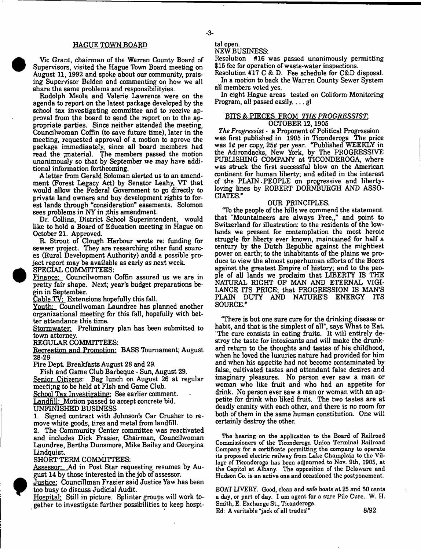# HAGUE TOWN BOARD

Vic Grant, chairman of the Warren County Board of Supervisors, visited the Hague Tbwn Board meeting on August 11, 1992 and spoke about our community, praising Supervisor Belden and commenting on how we all share the same problems and responsibilityies.

Rudolph Meola and Valerie Lawrence were on the agenda to report on the latest package developed by the school tax investigating committee and to receive approval from the board to send the report on to the appropriate parties. Since neither attended the meeting, Councilwoman Coffin (to save future time), later in the meeting, requested approval of a motion to aprove the package immediaately, since all board members had read the ;material. The members passed the motion unanimously so that by September we may have additional information forthcoming.

A letter from Gerald Soloman alerted us to an amendment (Forest Legacy Act) by Senator Leahy, VT that would allow the Federal Government to go directly to private land owners and buy development rights to forest lands through "consideration" easements. Solomon sees problems in NY in ;this amendment.

Dr. Collins, District School Superintendent, would like to hold a Board of Education meeting in Hague on October 21. Approved.

R. Strout of Clough Harbour wrote re: funding for seweer project. They are researching other fund sources (Rural Development Authority) andd a possible project report may be available as early as next week.

SPECIAL COMMITTEES:

Finance: Councilwoman Coffin assured us we are in pretty fair shape. Next; year's budget preparations begin in September.

Cable TV: Extensions hopefully this fall.

Youth: Councilwoman Laundree has planned another organizational meeting for this fall, hopefully with better attendance this time.

Stormwater: Preliminary plan has been submitted to town attorney.

REGULAR COMMITTEES:

Recreation and Promotion: BASS Tbumament; August 28-29

Fire Dept. Breakfasts August 28 and 29.

Fish and Game Club Barbeque - Sun, August 29. Senior Citizens: Bag lunch on August 26 at regular meeti;ng to be held at Fish and Game Club.

School Tax Investigating: See earlier comment.

Landfill: Motion passed to accept concrete bid.

UNFINISHED BUSINESS

1. Signed contract with Johnson's Car Crusher to remove white goods, tires and metal from landfill.

2. The Community Center committee was reactivated and includes Dick Frasier, Chairman, Councilwoman Laundree, Bertha Dunsmore, Mike Bailey and Georgina Lindquist.

SHORT TERM COMMITTEES:

Assessor: Ad in Post Star requesting resumes by August 14 by those interested in the job of assessor.

Justice: Councillman Frasier said Justice Yaw has been too busy to discuss Judicial Audit.

Hospital: Still in picture. Splinter groups will work together to investigate further possibilities to keep hospi-

# tal open.

# NEW BUSINESS:

Resolution #16 was passed unanimously permitting \$15 fee for operation of waste-water inspections.

Resolution #17 C *&* D. Fee schedule for C&D disposal. In a motion to back the Warren County Sewer System all members voted yes.

In eight Hague areas tested on Coliform Monitoring Program, all passed easily.... gl

### BITS & PIECES FROM *THE PROGRESSIST.* OCTOBER 12,1905

*The Progressist* - a Proponent of Political Progression was first published in 1905 in Ticonderoga The price was 1¢ per copy, 25¢ per year. "Published WEEKLY in the Adirondacks, New York, by The PROGRESSIVE PUBLISHING COMPANY at TICONDEROGA, where was struck the first successful blow on the American continent for human liberty; and edited in the interest of the PLAIN.PEOPLE on progressive and libertyloving lines by ROBERT DORNBURGH AND ASSO-CIATES."

# OUR PRINCIPLES.

"Ib the people of the hills we commend the statement that "Mountaineers are always Free,," and point to Switzerland for illustration: to the residents of the lowlands we present for contemplation the most heroic struggle for liberty ever known, maintained for half a century by the Dutch Republic against the mightiest power on earth; to the inhabitants of the plains we produce to view the almost superhuman efforts of the Boers against the greatest Empire of history; and to the people of all lands we proclaim that LIBERTY IS THE NATURAL RIGHT OF MAN AND ETERNAL VIGI-LANCE ITS PRICE; that PROGRESSION IS MANS PLAIN DUTY AND NATURE'S ENERGY ITS SOURCE."

"There is but one sure cure for the drinking disease or habit, and that is the simplest of all", says What to Eat. 'The cure consists in eating fruits. It will entirely destroy the taste for intoxicants and will make the drunkard return to the thoughts and tastes of his childhood, when he loved the luxuries nature had provided for him and when his appetite had not become contaminated by false, cultivated tastes and attendant false desires and imaginary pleasures. No person ever saw a man or woman who like fruit and who had an appetite for drink. No person ever saw a man or woman with an appetite for drink who liked fruit. The two tastes are at deadly enmity with each other, and there is no room for both of them in the same human constitution. One will certainly destroy the other.

The hearing on the application to the Board of Railroad Commissioners of the Ticonderoga Union Terminal Railroad Company for a certificate permitting the company to operate its proposed electric railway from Lake Champlain to the Village of Ticonderoga has been adjourned to Nov. 9th, 1905, at the Capitol at Albany. The opposition of the Delaware and Hudson Co. is an active one and occasioned the postponement.

BOAT LIVERY. Good, clean and safe boats at 25 and 50 cents a day, or part of day. I am agent for a sure Pile Cure. W. H. Smith, E. Exchange St., Ticonderoga. Ed: A veritable "jack of all trades!" 8/92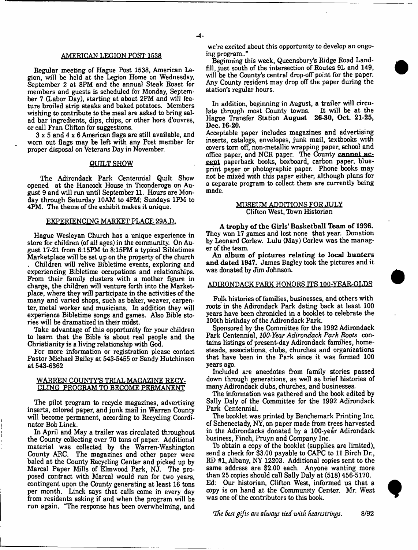#### AMERICAN LEGION POST 1538

Regular meeting of Hague Post 1538, American Legion, will be held at the Legion Home on Wednesday, September 2 at 8PM and the annual Steak Roast for members and guests is scheduled for Monday, September 7 (Labor Day), starting at about 2PM and will feature broiled strip steaks and baked potatoes. Members wishing to contribute to the meal are asked to bring salad bar ingredients, dips, chips, or other hors d'ouvres, or call Fran Clifton for suggestions.

3 x 5 and 4 x 6 American flags are still available, and worn out flags may be left with any Post member for proper disposal on Veterans Day in November.

#### QUILT SHOW

The Adirondack Park Centennial Quilt Show opened at the Hancock House in Ticonderoga on August 9 and will run until September 11. Hours are Monday through Saturday 10AM to 4PM; Sundays 1PM to 4PM. The theme of the exhibit makes it unique.

### EXPERIENCING MARKET PLACE 29A.D.

Hague Wesleyan Church has a unique experience in store for children (of all ages) in the community. On August 17-21 from 6:15PM to 8:15PM a typical Bibletimes Marketplace will be set up on the property of the church

. Children will relive Bibletime events, exploring and experiencing Bibletime occupations and relationships. From their family clusters with a mother figure in charge, the children will venture forth into the Marketplace, where they will participate in the activities of the many and varied shops, such as baker, weaver, carpenter, metal worker and musicians. In addition they will experience Bibletime songs and games. Also Bible stories will be dramatized in their midst.

Take advantage of this opportunity for your children to leam that the Bible is about real people and the Christianity is a living relationship with God.

For more information or registration please contact Pastor Michael Bailey at 543-5455 or Sandy Hutchinson at 543-6362

#### WARREN COUNTY'S TRIAL MAGAZINE RECY-CLING PROGRAM TO BECOME PERMANENT

The pilot program to recycle magazines, advertising inserts, colored paper, and junk mail in Warren County will become permanent, according to Recycling Coordinator Bob Linck.

In April and May a trailer was circulated throughout the County collecting over 70 tons of paper. Additional material was collected by the Warren-Washington County ARC. The magazines and other paper were baled at the County Recycling Center and picked up by Marcal Paper Mills of Elmwood Park, NJ. The proposed contract with Marcal would run for two years, contingent upon the County generating at least 16 tons per month. Linck says that calls come in every day from residents asking if and when the program will be run again. "The response has been overwhelming, and

we're excited about this opportunity to develop an ongoing program..

Beginning this week, Queensbury's Ridge Road Landfill, just south of the intersection of Routes 9L and 149, will be the County's central drop-off point for the paper. Any County resident may drop off the paper during the station's regular hours.

In addition, beginning in August, a trailer will circulate through most County towns. It will be at the Hague Transfer Station August 26-30, Oct. 21-25, Dec. 16-20.

Acceptable paper includes magazines and advertising inserts, catalogs, envelopes, junk mail, textbooks with covers tom off, non-metallic wrapping paper, school and office paper, and NCR paper. The County cannot accept paperback books, boxboard, carbon paper, blueprint paper or photographic paper. Phone books may not be mixed with this paper either, although plans for a separate program to collect them are currently being made.

#### MUSEUM ADDITIONS FOR JULY Clifton West, Tbwn Historian

A trophy of the Girls' Basketball Team of 1936. They won 17 games and lost none that year. Donation by Leonard Corlew. Lulu (May) Corlew was the manager of the team.

An album of pictures relating to local hunters and dated 1947. James Bagley took the pictures and it was donated by Jim Johnson.

#### ADIRONDACK PARK HONORS ITS 100-YEAR-QLDS

Folk histories of families, businesses, and others with roots in the Adirondack Park dating back at least 100 years have been chronicled in a booklet to celebrate the 100th birthday of the Adirondack Park.

Sponsored by the Committee for the 1992 Adirondack Park Centennial, *100-Year Adirondack Park Roots* contains listings of present-day Adirondack families, homesteads, associations, clubs, churches and organizations that have been in the Park since it was formed 100 years ago.

Included are anecdotes from family stories passed down through generations, as well as brief histories of many Adirondack dubs, churches, and businesses.

The information was gathered and the book edited by Sally Daly of the Committee for the 1992 Adirondack Park Centennial.

The booklet was printed by Benchemark Printing Inc. of Schenectady, NY, on paper made from trees harvested in the Adirondacks donated by a 100-year Adirondack business, Finch, Pruyn and Company Inc.

lb obtain a copy of the booklet (supplies are limited), send a check for \$3.00 payable to CAPC to 11 Birch Dr., KD #1, Albany, NY 12203. Additional copies sent to the same address are \$2.00 each. Anyone wanting more than 25 copies should call Sally Daly at (518) 456-5170.

Ed: Our historian, Clifton West, informed us that a copy is on hand at the Community Center. Mr. West was one of the contributors to this book.

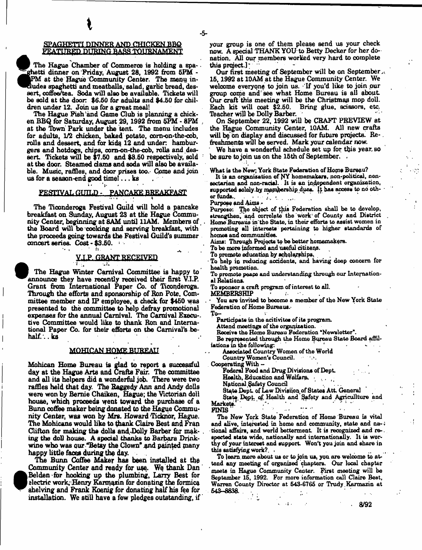#### SPAGHETTI DINNER AND CHICKEN BBQ FEATURED DURING BASS TOURNAMENT

**i**

The Hague Chamber of Commerce is holding a spaghetti dinner on Friday, August 28, 1992 from 5PM -PM at the Hague Community Center. The menu indudes spaghetti and meatballs, salad, garlic bread, dessert, coffee/tea. Soda will also be available. Tickets will be sold at the door \$6.60 for adults and \$4.60 for children under 12. Join us for a great meal!

The Hague Fish and Game Club is planning a chicken BBQ for Saturday, August 29,1992 from 5PM \* 8PM at the Town Park under the tent. The menu includes for adults, 1/2 chicken, baked potato, com-on-the-cob, rolls and dessert, and for kids 12 and under: hamburgers and hotdogs, chips, com-on-the-cob, rolls and dessert. Tickets will be \$7.50 and \$8.50 respectively, sold at the door. Steamed dams and soda will also be available. Music, raffles, and door prizes too. Come and join us for a season-end good time! $\ldots$  ks

#### FESTIVAL GUILD - PANCAKE BREAKFAST

The Ticonderoga Festival Guild will hold a pancake breakfast on Sunday, August 23 at the Hague Community Center, beginning at 8AM until 11AM. Members of the Board will be cooking and serving breakfast, with the proceeds going towards the Festival Guild's summer<br>
concert series. Cost - \$3.50.<br>
Y.I.P. GRANT RECEIVED<br>
The Hague Winter Carnival Committee is happy to concert series. Cost - \$3.50.

 ${\bf r}_{\rm eff}$  =  ${\bf a}_{\rm eff}$   ${\bf a}_{\rm eff}$   ${\bf a}_{\rm eff}$   ${\bf a}_{\rm eff}$   ${\bf a}_{\rm eff}$ The Hague Winter Carnival Committee is happy to announce they have recently received their first V.I.P.<br>Grant from International Paper Co. of Ticonderoga. Through the efforts and sponsorship of Ron Pote, Committee member and  $IP$  employee, a check for \$450 was presented to the committee to help defray promotional expenses for the annual Carnival. The Carnival Execu-. tive Committee would like to thank Ron and Internauve Committee would had to thank You and Interna-<br>tional Panar Co., for thair afforts on the Carnival's be. tional Paper Co. for their efforts on the Carnival's behalf... ks

#### MOHICAN HOME BUREAU

Mohican Home Bureau is glad to report a successful and all its helpers did a wonderful job. There were two raffles held that day. The Raggedy Ann and Andy dolls were won by Bernie Chaiken, Hague; the Victorian doll house, which proceeds went toward the purchase of a Bunn coffee maker being donated to the Hague Community Center, was won by Mrs. Howard Ticknor, Hague. The Mohicans would like to thank Claire Best and Fran Clifton for making the dolls and Dolly Barber for making the doll house. A special thanks to Barbara Drinking the doll house. A special thanks to Barbara Drinkwine win was our \*Delay the Clown "and painted many"<br>hanny little faces during the day

happy little faces during the day.<br>The Bunn Coffee Maker has been installed at the Community Center and ready for use. We thank Dan Belden for hooking up the plumbing, Larry Best for **•** electric work: Henry Karmazin for donating the formica ahelving and Frank Koenig for donating half his fee for shelving and Frank Koenig for donating had his fee for the state of the state of the state of the state of the installation. We still have a few pledges outstanding, if

your group is one of them please send us your check now. A special THANK YOU' to Betty Decker for her donation. All our members worked very hard to complete this project. this project.]  $\ddots$  -

Our first meeting of September will be on September. 15,1992 at 10AM at the Hague Community Center. We welcome everyone to join us. 'If you'd like to join pur group come and'see what Home Bureau is all about Our craft thia meeting will be the Christmas mop doll. Each kit will cost \$2.60. Bring glue, scissors, etc. Teacher will be Dolly Barber.

On September 22, 1992 will be CRAFT PREVIEW at the Hague Community Center, 10AM. All new crafts will be on display and discussed for future projects. Refreshments will be served. Mark your calendar now.

' We have a wonderful schedule set up for this year, so be sure to join us on the 15th of September. .

What is the New: York State Federation of Home Bureau?

It is an organisation of NY homemakers, non-political, nonsectarian and non-racial. It is an independent organization, supported solely by mambership ducs. If has access to no other funds. er funds.....................\*, \*

Purpose and Aims -

Purpose: The object of this Federation shall be to develop, strengthen, and correlate the work of County and District Home Bureaus in the State, in their efforts to assist women in promoting all interests pertaining to higher standards of homes and communities.

Aims: Through Projects to be better homemakers.

To be more informed and useful citizens.

To promote education hy scholarships,

To help in reducing accidents, and having doep concern for health promotion.

To promote peape and understanding through our International Relations.

To sponsor a craft program of interest to all.

MEMBERSHIP

You are invited to become a member of the New York State Federation of Home Bureaus.

**College** 

To—

Participate in the acitivites of its program.

Attend meetings of the organization.

Receive the Homo Bureau Federation ''Newsletter". Be represented through the Home Bureau State Board affiliations in the following:  $\begin{bmatrix} 1 & 1 \\ 1 & 1 \end{bmatrix}$ 

Associated Country Women of the World

Country Women's Council. Cooperating With -

Federal Food and Drug Divisions of Dept.

Health, Education and Welfare.

National §afety Council

State Dept. of Law Division of States Att. General

State Dept. of Health and Safety and Agricullture and

Markets.<br>FINIS

FINIS  $\begin{bmatrix} 1 & 1 & 1 \end{bmatrix}$ The New York State Federation of Home Bureau is vital and alive, interested in home and community, state and na- $\cdot$ tional affairs, and world betterment It is recognized and respected state wide, nationally and internationally. It is worthy of your interest and support Won't you join and share in this satisfying work?. .

To learn, more about ua or to join us, yon are welcome to attend any meeting of organized chapters. Our local chapter meets in Hague Community Center. First meeting will be September 16, 1992. For more information call Claire Best, Warren County Director at 643-6765 or Trudy .Karmazin at ,. 643-8838. .  $\mathbb{Z}^{\times}$ 

\* . 8/92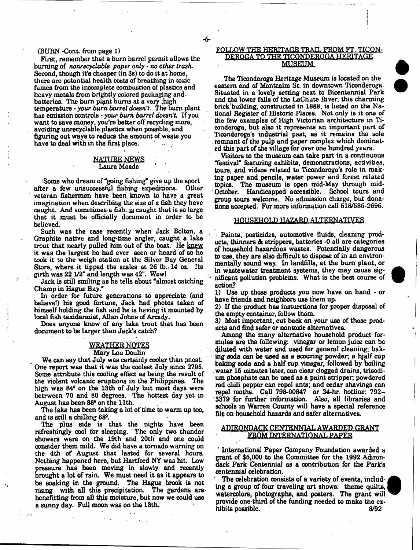#### (BURN -Cont. from page 1)

First, remember that a bum barrel permit allows the burning of *nonreeyclable paper only* - *no other trash.* Second, though it's cheaper (in \$s) to do it at home, there are potential health coats of breathing in toxic fumes from the incomplete combustion of plastics, and heavy metals from brightly colored packaging and batteries. The burn plant burns at a very ;high temperature - *your burn barrel doesn't.* The bum plant has emission controls - your *burn barrel doesn't.* If you want to save money, you're better off recycling more, avoiding unrecyclable plastics when possible, and figuring out ways to reduce the amount of waste you have to deal with in the first place.

#### NATURE NEWS Laura Meade

Some who dream of "going fishing" give up the sport after a few unsuccessful fishing expeditions. Other veteran fishermen have been, known to have a great imagination when describing the size of a fish they have caught. And sometimes a fish, ig caught that is so large that it must be officially document in order to be believed.

Such was the case recently when Jack Bolton, a Graphite native and long-time angler, caught a lake trout that nearly pulled him out of the boat. He knew it was the largest he had ever seen or heard of so he took it to the weigh station at the Silver Bay General Store, where it tipped the scales at 26 lb. 14 oz. Its girth was 22 1/2" and length was 42". Wow!

Jack is still smiling as he tells about "almost catching" Champ in Hague Bay."

In order for future generations to appreciate (and believe!) his good fortune, Jack had photos taken of himself holding the fish and he is having it mounted by local fish taxidermist, Allan Johns of Arcady.

Does anyone know of any lake trout that has been document to be larger than Jack's catch?

#### WEATHER NOTES Mary Lou Doulin

We can say that July was certainly cooler than ; most. One report was that it was the coolest July since 2795. Some attribute this cooling effect as being the result of the violent volcanic eruptions *in* the Philippines. The high was  $84<sup>e</sup>$  on the 13th of July but most days were betrween 70 and 80 degrees. The hottest day yet in August has been 88° on the 11th.

The lake has been taking a lot of time to warm up too, and is still a chilling 68°.

The plus side is that the nights have been refreshingly cool for sleeping. The only two thunder showers were on the 19th and 20th and one could consider them mild. We did have a tornado warning on the 4th of August that lasted for several hours. Nothing happened here, but Hartford NY was hit. Low pressure has been moving in slowly and recently brought a lot of rain. We must need it as it appears to be soaking in the ground. The Hague brook is not rising with all this precipitation. The gardens are benefiting from all this moisture, but now we could use a sunny day. Full moon was on the 13th.

#### FOLLOW THE HERITAGE TRAIL FROM FT. TICON-DEROGA TO THE TICONDEROGA HERITAGE MUSEUM

The Ticonderoga Heritage Museum is located on the eastern end of Montcalm St. in downtown Ticonderoga. Situated in a lovely setting next to Bicentennial Park and the lower falls of the LaChute River, this charming brick building, constructed in 1888, is listed on the National Register of Historic Places. Not only is it one of the few examples of High Victorian architecture in Tioonderoga, but also it represents an important part of Ticonderoga's industrial past, as it remains the sole remnant of the pulp and paper complex which dominated thin part of the village for over one hundred years.

Visitors to the museum can take part in a continuous "festival" featuring exhibits, demonstrations, activities, tours, and videos related to Ticonderoga's role in making paper and pencils, water power and forest related topics. The museum is open mid-May through mid-October. Handicapped accessible. School tours and group tours welcome. No admission charge, but donations accepted. For more information call  $618/686-2696$ .

#### HOUSEHOLD HAZARD ALTERNATIVES

Paints, pesticides, automotive fluids, cleaning products, thinners A strippers, batteries -0 all are categories of household hazardous wastes. Potentially dangerous to use, they are also difficult to dispose of in an environmentally sound way. In landfills, at the burn plant, or in wastewater treatment systems, they may cause significant pollution problems. What is the best course of action?

1) Use up those products you now have on hand - or have friends and neighbors use them up.

2) If the product has inaturetions for proper disposal of the empty container, follow them.

3) Most important, cut back on your use of these products and find safer or nontoxic alternatives.

Among the many alternative household product formulas are the following; vinegar or lemon juice can be diluted with water and used for general cleaning; baking soda can be used as a scouring powder, a hjalf cup baking soda and a half cup. vinegar, followed by boiling water 16 minutes later, can clear clogged drains, trisodium phosphate can be used as a paint stripper; powdered red chili pepper can repel ants; and cedar shavings can repel moths. Call 798-00847 or 24-hr. hotline: 792- 3379 for further information. Also, all libraries and schools in Warren County will have a special reference file on household hazards and safer alternatives.

# ADIRONDACK CENTENNIAL AWARDED GRANT FROM INTERNATIONAL PAPER

1 Internationa] Paper Company Foundation awarded a grant of \$6,000 to the Committee for the 1992 Adirondack Park Centennial as a contribution for the Park's centennial celebration.

The celebration consists of a variety of events, including a group of four traveling art shows: theme quilts, watercolors, photographs, and posters. The grant will provide one-third of the funding needed to make the exhibits possible. *8/92*



-6-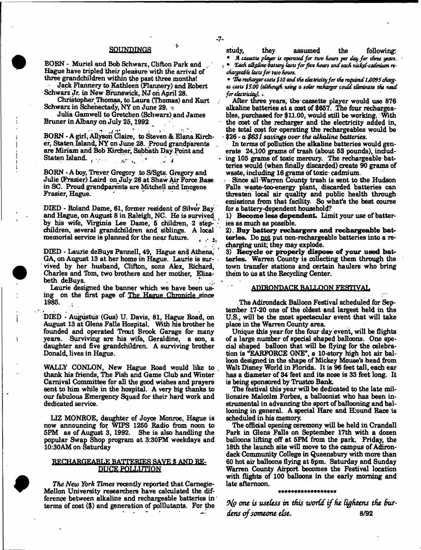#### **SOUNDINGS**

BORN - Muriel and Bob Schwarz, Clifton Park and Hague have tripled their pleasure with the arrival of three grandchildren within the past three months!

Jack Flannery to Kathleen (Flannery) and Robert Schwarz Jr. in New Brunswick, NJ oh April 28.

Christopher Thomas, to Laura (Thomas) and Kurt Schwarz in Schenectady, NY on June 29.  $\pm$ 

Julia Gamwell to Gretchen (Schwarz) and James Bruner in Albany oh July 25,1992

BORN - A girl, Allyson Claire, to Steven & Elana Kircher, Staten Island, NY on June 28. Proud grandparents are Miriam and Bob Kircher, Sabbath Day Point and Statenlsland. . . n i *f ■* I, ..J *4*

BORN - A boy, Trever Gregory to S/Sgte. Gregory and Julie (Frasier) Laird onJuly 26 at Shaw Air Force Base in SC. Proud grandparents are Mitchell and Imogene Frasier, Hague.

DIED - Roland Dame, 61, former resident of Silver Bay and Hague, on August 8 in Raleigh, NG. He is survived ( by his wife, Virginia Lee Dame, 5 children, 2 stepchildren, several grandchildren and siblings. A local memorial service is planned for the near future.

DIED - Laurie deBuys Pannell, 49, Hague and Athens, GA, on August 13 at her home in Hague. Laurie is sur- . vived by her husband, Clifton, sons Alex, Richard, Charles and Tbm, two brothers and her mother, Elizabeth deBuys.

Laurie designed the banner which we have been using on the first page of The Hague Chronicle since 1985.

DIED - Augustus (Gus) U. Davis, 81, Hague Road, on August 13 at Glens Falls Hospital. With his brother he founded and operated Trout Brook Garage for many years. Surviving are his wife, Geraldine, a son, a daughter and five grandchildren. A surviving brother Donald, lives in Hague.

WALLY CONLON, New Hague Road would like to . thank his friends, The Fish and Game Club and Winter Carnival Committee for all the good wishes and prayers sent to him while in the hospital. A very big thanks to our fabulous Emergency Squad for their hard work and dedicated service.

LIZ MONROE, daughter of Joyce Monroe, Hague is now announcing for WIPS 1250 Radio from noon to 5PM as of August 3, 1992. She is also handling the popular Swap Shop program at 3:30PM weekdays and 10:30AM on Saturday

#### RECHARGEABLE BATTERIES SAVE \$ AND RE-DUCE POLLUTION

*The New York Times* recently reported that Camegie-Mellon University researchers have calculated the difference between alkaline and rechargeable batteries in terms of cost (\$) and generation of polllutants. For the

\* *Each alkaline battery lasts for five hours and each nickel-cadmium recfiargcoMt Casts for two hours.*

\* The recharger costs \$10 and the electricity for the required 1,0095 charg*es costs \$5.00 (although using a solar recharger could eliminate the need for electricity).* 

After three years, the-cassette player would use 876 alkaline batteries at a cost of \$657. The four rechargeables, purchased for \$11.00, would still be working. With the cost of the recharger and the electricity added in, the total cost for operating the rechargeables would be \$26 - *a \$631* savings over the alkaline batteries.

In terms of pollution the alkaline batteries would generate 24,100 grams of trash (about 53 pounds), including 105 grams of toxic mercury. The rechargeable batteries would (when finally discarded) create 90 grams of waste, induding 16 grams of toxic- cadmium.

Since all Warren County trash is sent to the Hudson Falls waste-too-energy plant, discarded batteries can threaten local air quality and public health through emissions from that facility. So what's the best course for a battery-dependent household?

1) Become less dependent. Limit your use of batteries as much as possible.

2). Buy battery rechargers and rechargeable batteries. Do not put non-rechargeable batteries into a recharging unit; they may explode.

3) Recycle or properly dispose of your used batteries. Warren County is collecting them through the town transfer stations and certain haulers who bring them to us at the Recycling Center.

#### ADIRONDACK BALLOON FESTIVAL

The Adirondack Balloon Festival scheduled for September 17-20 one of the oldest and largest held in the U.S., will be the most spectacular event that will take place in the Warren County area.

Unique this year for the four day event, will be flights of a large number of special shaped balloons. One special shaped balloon that will be flying for the celebration is "EAKFORCE ONE", a 10-story high hot air balloon designed in the shape of Mickey Mouse's head from Walt Disney World in Florida. It is 96 feet tall, each ear has a diameter of 34 feet and its nose is 33 feet long. It is being sponsored by Trustco Bank.

The festival this year will be dedicated to the late millionaire Malcolm Forbes, a balloonist who has been instrumental in advancing the sport of ballooning and ballooning in general. A special Hare and Hiound Race is scheduled in his memory.

The official opening ceremony will be held in Crandall Park in Glens Falls on September I7th with a dozen balloons lifting off at 5PM from the park. Friday, the 18th the launch site will move to the campus of Adirondack Community College in Queensbury with more than 60 hot air balloons flying at 5pm. Saturday and Sunday Warren County Airport becomes the Festival location with flights of 100 balloons in the early morning and late afternoon.

#### \*\*\*\*\*\*\*\*\*\*\*\*\*\*\*\*\*

*one is useless in this world if he tightens the Burdens of someone else.* 8/92